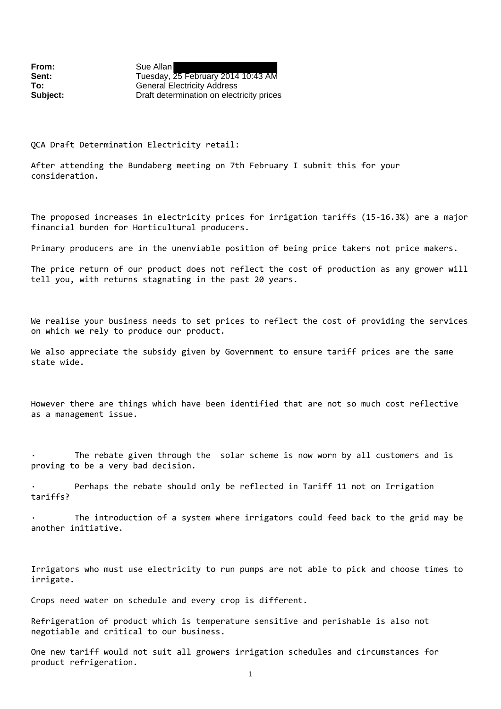From: Sue Allan

**Sent:** Tuesday, 25 February 2014 10:43 AM **To:** General Electricity Address **Subject:** Draft determination on electricity prices

QCA Draft Determination Electricity retail:

After attending the Bundaberg meeting on 7th February I submit this for your consideration.

The proposed increases in electricity prices for irrigation tariffs (15‐16.3%) are a major financial burden for Horticultural producers.

Primary producers are in the unenviable position of being price takers not price makers.

The price return of our product does not reflect the cost of production as any grower will tell you, with returns stagnating in the past 20 years.

We realise your business needs to set prices to reflect the cost of providing the services on which we rely to produce our product.

We also appreciate the subsidy given by Government to ensure tariff prices are the same state wide.

However there are things which have been identified that are not so much cost reflective as a management issue.

The rebate given through the solar scheme is now worn by all customers and is proving to be a very bad decision.

Perhaps the rebate should only be reflected in Tariff 11 not on Irrigation tariffs?

The introduction of a system where irrigators could feed back to the grid may be another initiative.

Irrigators who must use electricity to run pumps are not able to pick and choose times to irrigate.

Crops need water on schedule and every crop is different.

Refrigeration of product which is temperature sensitive and perishable is also not negotiable and critical to our business.

One new tariff would not suit all growers irrigation schedules and circumstances for product refrigeration.